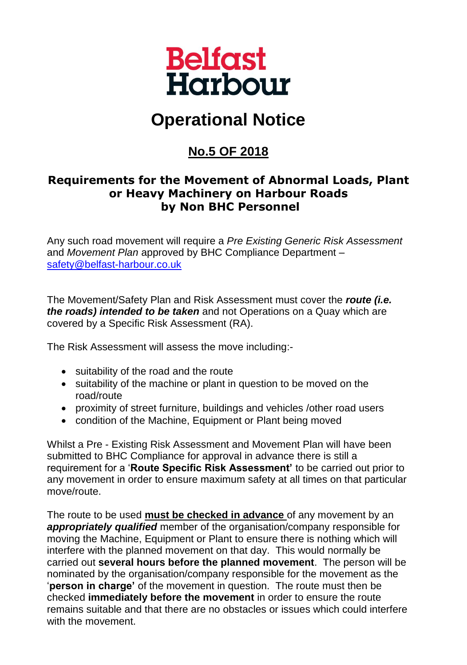

## **Operational Notice**

## **No.5 OF 2018**

## **Requirements for the Movement of Abnormal Loads, Plant or Heavy Machinery on Harbour Roads by Non BHC Personnel**

Any such road movement will require a *Pre Existing Generic Risk Assessment* and *Movement Plan* approved by BHC Compliance Department – [safety@belfast-harbour.co.uk](mailto:safety@belfast-harbour.co.uk)

The Movement/Safety Plan and Risk Assessment must cover the *route (i.e. the roads) intended to be taken* and not Operations on a Quay which are covered by a Specific Risk Assessment (RA).

The Risk Assessment will assess the move including:-

- suitability of the road and the route
- suitability of the machine or plant in question to be moved on the road/route
- proximity of street furniture, buildings and vehicles /other road users
- condition of the Machine, Equipment or Plant being moved

Whilst a Pre - Existing Risk Assessment and Movement Plan will have been submitted to BHC Compliance for approval in advance there is still a requirement for a '**Route Specific Risk Assessment'** to be carried out prior to any movement in order to ensure maximum safety at all times on that particular move/route.

The route to be used **must be checked in advance** of any movement by an *appropriately qualified* member of the organisation/company responsible for moving the Machine, Equipment or Plant to ensure there is nothing which will interfere with the planned movement on that day. This would normally be carried out **several hours before the planned movement**. The person will be nominated by the organisation/company responsible for the movement as the '**person in charge'** of the movement in question. The route must then be checked **immediately before the movement** in order to ensure the route remains suitable and that there are no obstacles or issues which could interfere with the movement.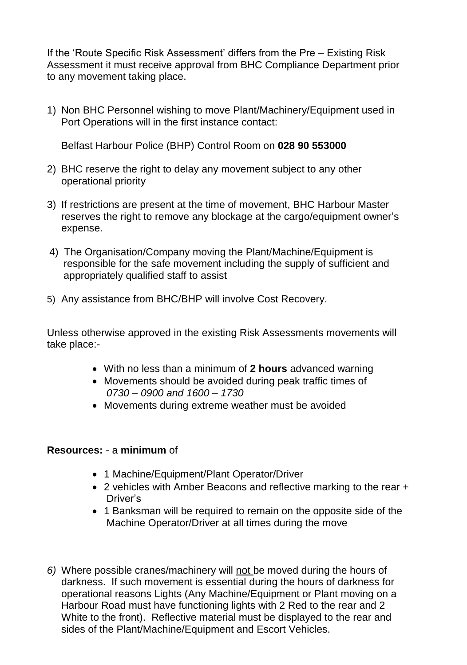If the 'Route Specific Risk Assessment' differs from the Pre – Existing Risk Assessment it must receive approval from BHC Compliance Department prior to any movement taking place.

1) Non BHC Personnel wishing to move Plant/Machinery/Equipment used in Port Operations will in the first instance contact:

Belfast Harbour Police (BHP) Control Room on **028 90 553000**

- 2) BHC reserve the right to delay any movement subject to any other operational priority
- 3) If restrictions are present at the time of movement, BHC Harbour Master reserves the right to remove any blockage at the cargo/equipment owner's expense.
- 4) The Organisation/Company moving the Plant/Machine/Equipment is responsible for the safe movement including the supply of sufficient and appropriately qualified staff to assist
- 5) Any assistance from BHC/BHP will involve Cost Recovery.

Unless otherwise approved in the existing Risk Assessments movements will take place:-

- With no less than a minimum of **2 hours** advanced warning
- Movements should be avoided during peak traffic times of *0730 – 0900 and 1600 – 1730*
- Movements during extreme weather must be avoided

## **Resources:** - a **minimum** of

- 1 Machine/Equipment/Plant Operator/Driver
- 2 vehicles with Amber Beacons and reflective marking to the rear + Driver's
- 1 Banksman will be required to remain on the opposite side of the Machine Operator/Driver at all times during the move
- *6)* Where possible cranes/machinery will not be moved during the hours of darkness. If such movement is essential during the hours of darkness for operational reasons Lights (Any Machine/Equipment or Plant moving on a Harbour Road must have functioning lights with 2 Red to the rear and 2 White to the front). Reflective material must be displayed to the rear and sides of the Plant/Machine/Equipment and Escort Vehicles.